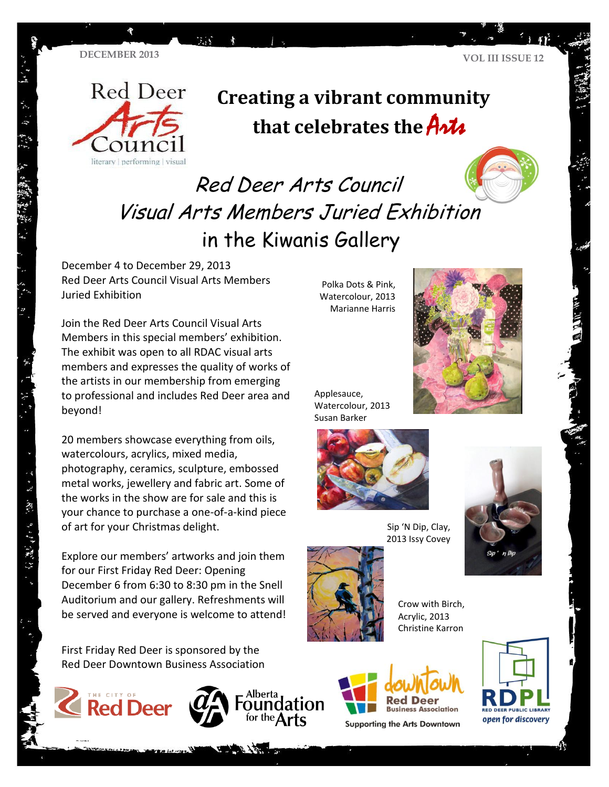**TA** 



 $\tilde{u}$  :  $\tilde{v}$ 

- 25 - 342, 3-27 27 27 27 27

# **Creating a vibrant community**  that celebrates the **Arts**

# Red Deer Arts Council Visual Arts Members Juried Exhibition in the Kiwanis Gallery

December 4 to December 29, 2013 Red Deer Arts Council Visual Arts Members Juried Exhibition

Join the Red Deer Arts Council Visual Arts Members in this special members' exhibition. The exhibit was open to all RDAC visual arts members and expresses the quality of works of the artists in our membership from emerging to professional and includes Red Deer area and beyond!

20 members showcase everything from oils, watercolours, acrylics, mixed media, photography, ceramics, sculpture, embossed metal works, jewellery and fabric art. Some of the works in the show are for sale and this is your chance to purchase a one-of-a-kind piece of art for your Christmas delight.

Explore our members' artworks and join them for our First Friday Red Deer: Opening December 6 from 6:30 to 8:30 pm in the Snell Auditorium and our gallery. Refreshments will be served and everyone is welcome to attend!

First Friday Red Deer is sponsored by the Red Deer Downtown Business Association



Polka Dots & Pink, Watercolour, 2013 Marianne Harris



Applesauce, Watercolour, 2013 Susan Barker



Sip 'N Dip, Clay, 2013 Issy Covey





Alberta

Crow with Birch, Acrylic, 2013 Christine Karron



**Supporting the Arts Downtown** 

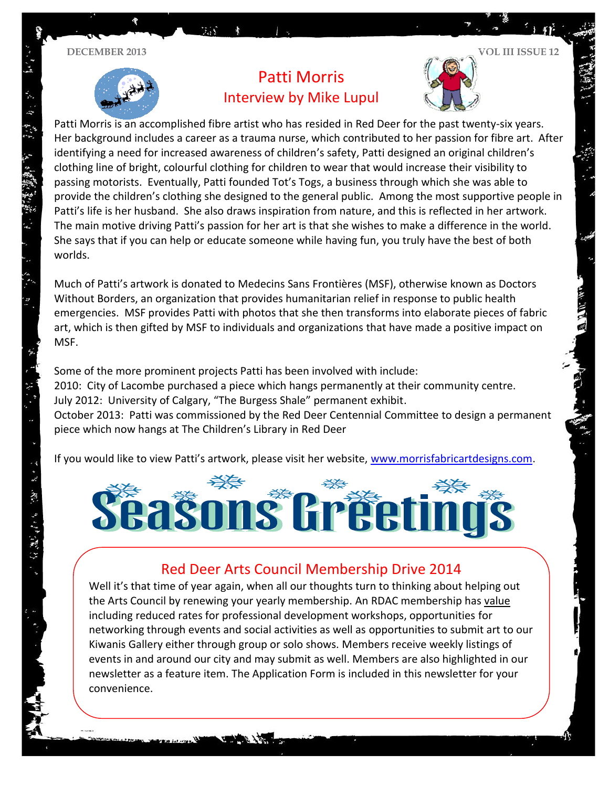$\ddot{\mathbf{r}}$ 

5 特徴業務



## Patti Morris Interview by Mike Lupul



Patti Morris is an accomplished fibre artist who has resided in Red Deer for the past twenty-six years. Her background includes a career as a trauma nurse, which contributed to her passion for fibre art. After identifying a need for increased awareness of children's safety, Patti designed an original children's clothing line of bright, colourful clothing for children to wear that would increase their visibility to passing motorists. Eventually, Patti founded Tot's Togs, a business through which she was able to provide the children's clothing she designed to the general public. Among the most supportive people in Patti's life is her husband. She also draws inspiration from nature, and this is reflected in her artwork. The main motive driving Patti's passion for her art is that she wishes to make a difference in the world. She says that if you can help or educate someone while having fun, you truly have the best of both worlds.

Much of Patti's artwork is donated to Medecins Sans Frontières (MSF), otherwise known as Doctors Without Borders, an organization that provides humanitarian relief in response to public health emergencies. MSF provides Patti with photos that she then transforms into elaborate pieces of fabric art, which is then gifted by MSF to individuals and organizations that have made a positive impact on MSF.

Some of the more prominent projects Patti has been involved with include: 2010: City of Lacombe purchased a piece which hangs permanently at their community centre. July 2012: University of Calgary, "The Burgess Shale" permanent exhibit. October 2013: Patti was commissioned by the Red Deer Centennial Committee to design a permanent piece which now hangs at The Children's Library in Red Deer

If you would like to view Patti's artwork, please visit her website, [www.morrisfabricartdesigns.com.](http://www.morrisfabricartdesigns.com/)



## Red Deer Arts Council Membership Drive 2014

Well it's that time of year again, when all our thoughts turn to thinking about helping out the Arts Council by renewing your yearly membership. An RDAC membership has value including reduced rates for professional development workshops, opportunities for networking through events and social activities as well as opportunities to submit art to our Kiwanis Gallery either through group or solo shows. Members receive weekly listings of events in and around our city and may submit as well. Members are also highlighted in our newsletter as a feature item. The Application Form is included in this newsletter for your convenience.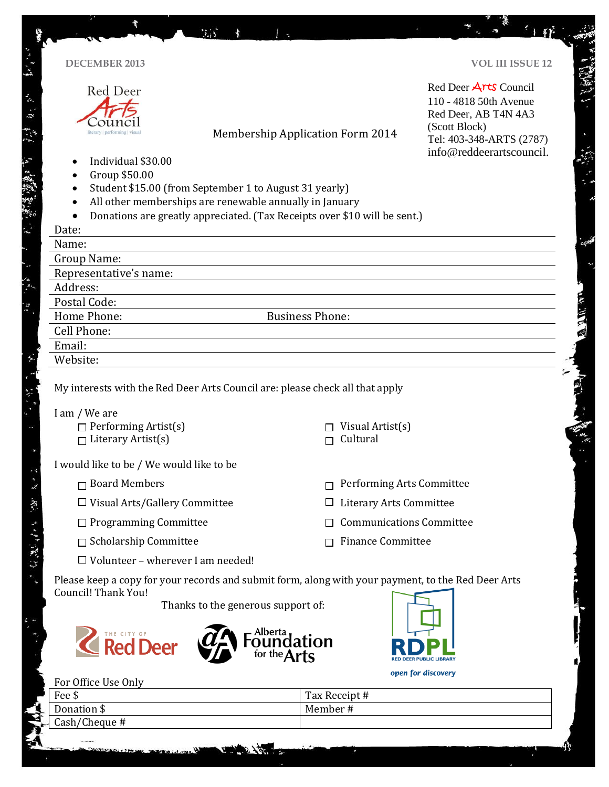| <b>DECEMBER 2013</b>                                     |                                                         |                                                                                                    | <b>VOL III ISSUE 12</b>  |
|----------------------------------------------------------|---------------------------------------------------------|----------------------------------------------------------------------------------------------------|--------------------------|
| Red Deer                                                 |                                                         |                                                                                                    | Red Deer Arts Council    |
|                                                          |                                                         |                                                                                                    | 110 - 4818 50th Avenue   |
|                                                          |                                                         |                                                                                                    | Red Deer, AB T4N 4A3     |
| literary   performing   visua                            |                                                         | (Scott Block)                                                                                      |                          |
|                                                          |                                                         | <b>Membership Application Form 2014</b>                                                            | Tel: 403-348-ARTS (2787) |
| Individual \$30.00                                       |                                                         |                                                                                                    | info@reddeerartscouncil. |
| Group \$50.00<br>٠                                       |                                                         |                                                                                                    |                          |
| $\bullet$                                                | Student \$15.00 (from September 1 to August 31 yearly)  |                                                                                                    |                          |
| $\bullet$                                                | All other memberships are renewable annually in January |                                                                                                    |                          |
| $\bullet$                                                |                                                         | Donations are greatly appreciated. (Tax Receipts over \$10 will be sent.)                          |                          |
| Date:                                                    |                                                         |                                                                                                    |                          |
| Name:                                                    |                                                         |                                                                                                    |                          |
| Group Name:                                              |                                                         |                                                                                                    |                          |
| Representative's name:                                   |                                                         |                                                                                                    |                          |
| Address:                                                 |                                                         |                                                                                                    |                          |
| Postal Code:                                             |                                                         |                                                                                                    |                          |
| Home Phone:                                              |                                                         | <b>Business Phone:</b>                                                                             |                          |
| Cell Phone:                                              |                                                         |                                                                                                    |                          |
| Email:                                                   |                                                         |                                                                                                    |                          |
|                                                          |                                                         |                                                                                                    |                          |
| Website:                                                 |                                                         |                                                                                                    |                          |
| I am / We are                                            |                                                         | My interests with the Red Deer Arts Council are: please check all that apply                       |                          |
| $\Box$ Performing Artist(s)<br>$\Box$ Literary Artist(s) |                                                         | Visual Artist(s)<br>Cultural                                                                       |                          |
|                                                          | I would like to be / We would like to be                |                                                                                                    |                          |
| $\Box$ Board Members                                     |                                                         | Performing Arts Committee                                                                          |                          |
|                                                          | $\Box$ Visual Arts/Gallery Committee                    | <b>Literary Arts Committee</b>                                                                     |                          |
|                                                          | $\Box$ Programming Committee                            | <b>Communications Committee</b>                                                                    |                          |
| $\Box$ Scholarship Committee                             |                                                         | <b>Finance Committee</b>                                                                           |                          |
|                                                          | $\Box$ Volunteer - wherever I am needed!                |                                                                                                    |                          |
| Council! Thank You!                                      | Thanks to the generous support of:                      | Please keep a copy for your records and submit form, along with your payment, to the Red Deer Arts |                          |
| <b>Red Deer</b>                                          |                                                         | Alberta                                                                                            |                          |
|                                                          |                                                         | open for discovery                                                                                 |                          |
| For Office Use Only<br>Fee \$                            |                                                         |                                                                                                    |                          |
| Donation \$                                              |                                                         | Tax Receipt #<br>Member#                                                                           |                          |

Ã

 $\hat{\mathcal{C}}$